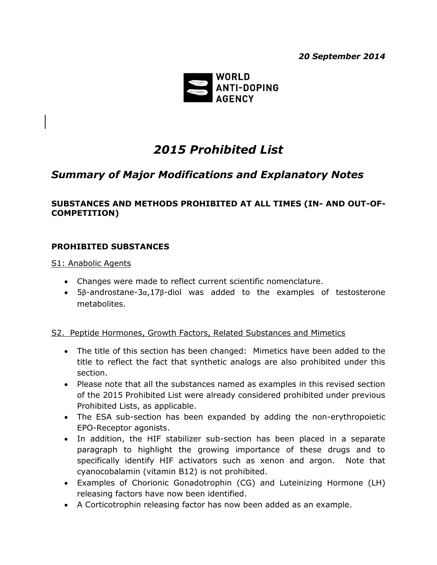*20 September 2014*



# *2015 Prohibited List*

## *Summary of Major Modifications and Explanatory Notes*

#### **SUBSTANCES AND METHODS PROHIBITED AT ALL TIMES (IN- AND OUT-OF-COMPETITION)**

#### **PROHIBITED SUBSTANCES**

S1: Anabolic Agents

- Changes were made to reflect current scientific nomenclature.
- 5β-androstane-3α,17β-diol was added to the examples of testosterone metabolites.

#### S2. Peptide Hormones, Growth Factors, Related Substances and Mimetics

- The title of this section has been changed: Mimetics have been added to the title to reflect the fact that synthetic analogs are also prohibited under this section.
- Please note that all the substances named as examples in this revised section of the 2015 Prohibited List were already considered prohibited under previous Prohibited Lists, as applicable.
- The ESA sub-section has been expanded by adding the non-erythropoietic EPO-Receptor agonists.
- In addition, the HIF stabilizer sub-section has been placed in a separate paragraph to highlight the growing importance of these drugs and to specifically identify HIF activators such as xenon and argon. Note that cyanocobalamin (vitamin B12) is not prohibited.
- Examples of Chorionic Gonadotrophin (CG) and Luteinizing Hormone (LH) releasing factors have now been identified.
- A Corticotrophin releasing factor has now been added as an example.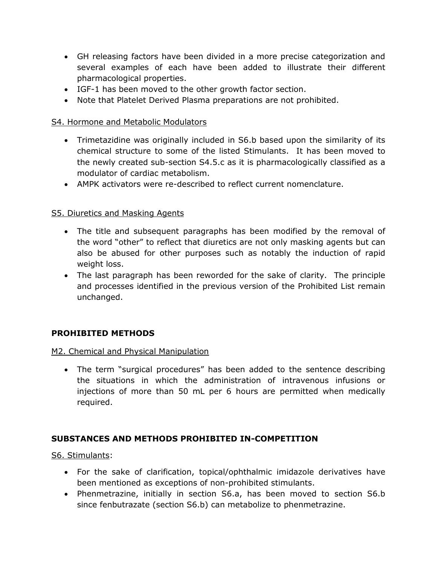- GH releasing factors have been divided in a more precise categorization and several examples of each have been added to illustrate their different pharmacological properties.
- IGF-1 has been moved to the other growth factor section.
- Note that Platelet Derived Plasma preparations are not prohibited.

#### S4. Hormone and Metabolic Modulators

- Trimetazidine was originally included in S6.b based upon the similarity of its chemical structure to some of the listed Stimulants. It has been moved to the newly created sub-section S4.5.c as it is pharmacologically classified as a modulator of cardiac metabolism.
- AMPK activators were re-described to reflect current nomenclature.

## S5. Diuretics and Masking Agents

- The title and subsequent paragraphs has been modified by the removal of the word "other" to reflect that diuretics are not only masking agents but can also be abused for other purposes such as notably the induction of rapid weight loss.
- The last paragraph has been reworded for the sake of clarity. The principle and processes identified in the previous version of the Prohibited List remain unchanged.

## **PROHIBITED METHODS**

## M2. Chemical and Physical Manipulation

 The term "surgical procedures" has been added to the sentence describing the situations in which the administration of intravenous infusions or injections of more than 50 mL per 6 hours are permitted when medically required.

## **SUBSTANCES AND METHODS PROHIBITED IN-COMPETITION**

S6. Stimulants:

- For the sake of clarification, topical/ophthalmic imidazole derivatives have been mentioned as exceptions of non-prohibited stimulants.
- Phenmetrazine, initially in section S6.a, has been moved to section S6.b since fenbutrazate (section S6.b) can metabolize to phenmetrazine.